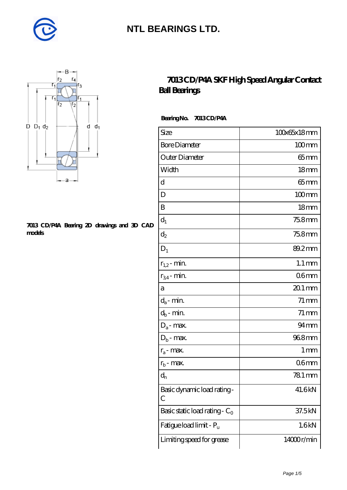



#### **[7013 CD/P4A Bearing 2D drawings and 3D CAD](https://diabetesfriends.net/pic-590738.html) [models](https://diabetesfriends.net/pic-590738.html)**

#### **[7013 CD/P4A SKF High Speed Angular Contact](https://diabetesfriends.net/skf-bearing/7013-cd-p4a.html) [Ball Bearings](https://diabetesfriends.net/skf-bearing/7013-cd-p4a.html)**

 **Bearing No. 7013 CD/P4A**

| Size                             | 100x65x18mm         |
|----------------------------------|---------------------|
| <b>Bore Diameter</b>             | $100$ mm            |
| Outer Diameter                   | 65 mm               |
| Width                            | 18 <sub>mm</sub>    |
| d                                | $65 \text{mm}$      |
| D                                | $100$ mm            |
| B                                | 18 <sub>mm</sub>    |
| $d_1$                            | 75.8mm              |
| $d_2$                            | 75.8mm              |
| $D_1$                            | 89.2mm              |
| $r_{1,2}$ - min.                 | $1.1 \,\mathrm{mm}$ |
| $r_{34}$ - min.                  | 06 <sub>mm</sub>    |
| a                                | $201$ mm            |
| $d_a$ - min.                     | $71 \,\mathrm{mm}$  |
| $d_b$ - $\min$                   | $71 \,\mathrm{mm}$  |
| $D_a$ - max.                     | $94 \text{mm}$      |
| $D_b$ - max.                     | 968mm               |
| $r_a$ - max.                     | $1 \,\mathrm{mm}$   |
| $r_{b}$ - max.                   | 06 <sub>mm</sub>    |
| $d_{n}$                          | 781 mm              |
| Basic dynamic load rating-<br>С  | 41.6kN              |
| Basic static load rating - $C_0$ | 37.5kN              |
| Fatigue load limit - Pu          | 1.6kN               |
| Limiting speed for grease        | 14000r/min          |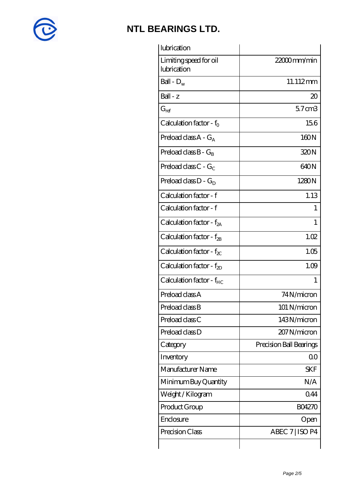

| lubrication                           |                         |
|---------------------------------------|-------------------------|
| Limiting speed for oil<br>lubrication | $2200$ mm/min           |
| Ball - $D_w$                          | 11.112mm                |
| Ball - z                              | 20                      |
| $G_{ref}$                             | $57 \text{ cm}$         |
| Calculation factor - $f_0$            | 156                     |
| Preload class $A - G_A$               | 160N                    |
| Preload class $B - G_R$               | 320N                    |
| Preload class $C - G_C$               | 640N                    |
| Preload class $D - G_D$               | 1280N                   |
| Calculation factor - f                | 1.13                    |
| Calculation factor - f                | T                       |
| Calculation factor - $f_{2A}$         | 1                       |
| Calculation factor - $f_{2B}$         | 1.02                    |
| Calculation factor - $f_{\chi}$       | 1.05                    |
| Calculation factor - $f_{ZD}$         | 1.09                    |
| Calculation factor - f <sub>HC</sub>  | 1                       |
| Preload class A                       | 74 N/micron             |
| Preload class B                       | 101 N/micron            |
| Preload class C                       | 143N/micron             |
| Preload class D                       | 207 N/micron            |
| Category                              | Precision Ball Bearings |
| Inventory                             | 0 <sup>0</sup>          |
| Manufacturer Name                     | <b>SKF</b>              |
| Minimum Buy Quantity                  | N/A                     |
| Weight/Kilogram                       | 0.44                    |
| Product Group                         | <b>BO4270</b>           |
| Enclosure                             | Open                    |
| Precision Class                       | ABEC 7   ISO P4         |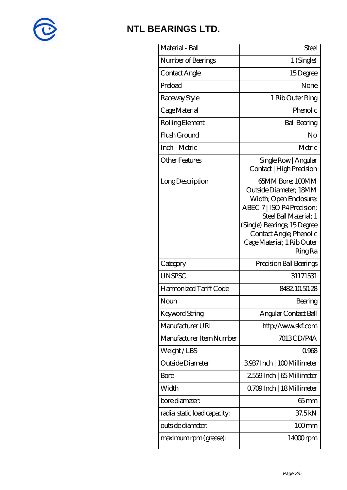

| Material - Ball              | <b>Steel</b>                                                                                                                                                                                                                           |
|------------------------------|----------------------------------------------------------------------------------------------------------------------------------------------------------------------------------------------------------------------------------------|
| Number of Bearings           | 1 (Single)                                                                                                                                                                                                                             |
| Contact Angle                | 15Degree                                                                                                                                                                                                                               |
| Preload                      | None                                                                                                                                                                                                                                   |
| Raceway Style                | 1 Rib Outer Ring                                                                                                                                                                                                                       |
| Cage Material                | Phenolic                                                                                                                                                                                                                               |
| Rolling Element              | <b>Ball Bearing</b>                                                                                                                                                                                                                    |
| Flush Ground                 | No                                                                                                                                                                                                                                     |
| Inch - Metric                | Metric                                                                                                                                                                                                                                 |
| <b>Other Features</b>        | Single Row   Angular<br>Contact   High Precision                                                                                                                                                                                       |
| Long Description             | 65MM Bore; 100MM<br>Outside Diameter: 18MM<br>Width; Open Enclosure;<br>ABEC 7   ISO P4 Precision;<br>Steel Ball Material; 1<br>(Single) Bearings; 15Degree<br>Contact Angle; Phenolic<br>Cage Material; 1 Rib Outer<br><b>Ring Ra</b> |
| Category                     | Precision Ball Bearings                                                                                                                                                                                                                |
| <b>UNSPSC</b>                | 31171531                                                                                                                                                                                                                               |
| Harmonized Tariff Code       | 8482.105028                                                                                                                                                                                                                            |
| Noun                         | Bearing                                                                                                                                                                                                                                |
| Keyword String               | Angular Contact Ball                                                                                                                                                                                                                   |
| Manufacturer URL             | http://www.skf.com                                                                                                                                                                                                                     |
| Manufacturer Item Number     | 7013CD/P4A                                                                                                                                                                                                                             |
| Weight/LBS                   | 0968                                                                                                                                                                                                                                   |
| Outside Diameter             | 3937Inch   100Millimeter                                                                                                                                                                                                               |
| <b>Bore</b>                  | 2559Inch   65 Millimeter                                                                                                                                                                                                               |
| Width                        | Q709Inch   18Millimeter                                                                                                                                                                                                                |
| bore diameter:               | $65$ mm                                                                                                                                                                                                                                |
| radial static load capacity: | 37.5kN                                                                                                                                                                                                                                 |
| outside diameter:            | $100$ mm                                                                                                                                                                                                                               |
| maximum rpm (grease):        | $14000$ rpm                                                                                                                                                                                                                            |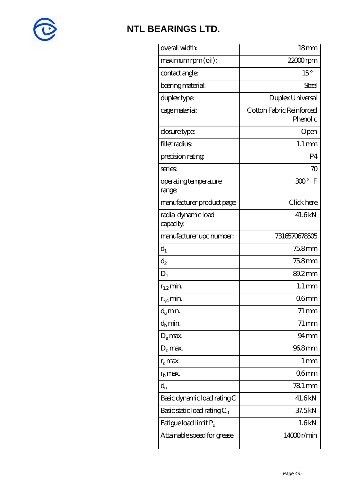

| overall width:                   | 18 <sub>mm</sub>                     |
|----------------------------------|--------------------------------------|
| maximum rpm (oil):               | $2200$ rpm                           |
| contact angle:                   | $15^{\circ}$                         |
| bearing material:                | Steel                                |
| duplex type:                     | Duplex Universal                     |
| cage material:                   | Cotton Fabric Reinforced<br>Phenolic |
| closure type:                    | Open                                 |
| fillet radius                    | $1.1 \,\mathrm{mm}$                  |
| precision rating                 | P <sub>4</sub>                       |
| series                           | $\infty$                             |
| operating temperature<br>range:  | 300° F                               |
| manufacturer product page:       | Click here                           |
| radial dynamic load<br>capacity: | 41.6kN                               |
| manufacturer upc number:         | 7316570678505                        |
| $d_1$                            | 75.8mm                               |
| $\mathrm{d}_2$                   | 75.8mm                               |
| $D_1$                            | 89.2mm                               |
| $r_{1,2}$ min.                   | $1.1 \,\mathrm{mm}$                  |
| $r_{34}$ min.                    | 06 <sub>mm</sub>                     |
| $d_a$ min.                       | $71 \,\mathrm{mm}$                   |
| $d_h$ min.                       | $71 \,\mathrm{mm}$                   |
| $D_a$ max.                       | $94$ mm                              |
| $D_{\rm b}$ max.                 | 968mm                                |
| $r_a$ max.                       | 1 <sub>mm</sub>                      |
| $r_{\rm b}$ max.                 | 06 <sub>mm</sub>                     |
| $d_{n}$                          | 781 mm                               |
| Basic dynamic load rating C      | 41.6kN                               |
| Basic static load rating $C_0$   | 37.5kN                               |
| Fatigue load limit $P_{\rm u}$   | 1.6kN                                |
| Attainable speed for grease      | 14000r/min                           |